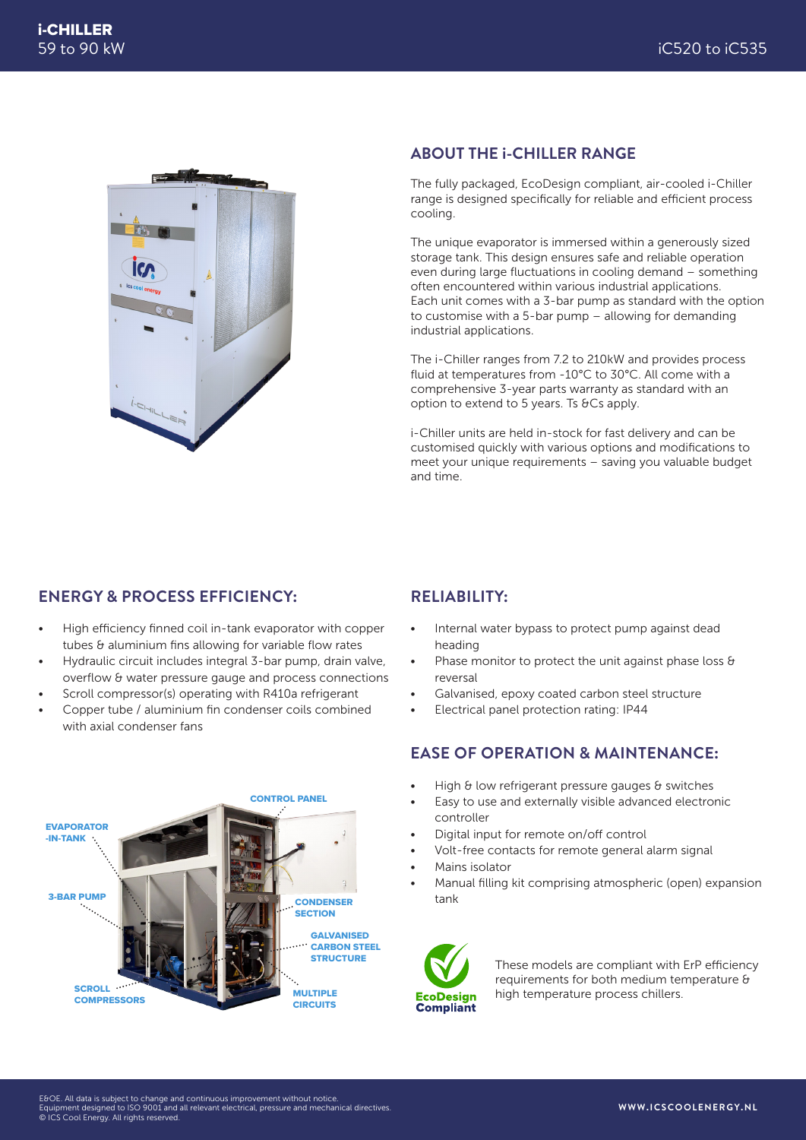

#### **ABOUT THE i-CHILLER RANGE**

The fully packaged, EcoDesign compliant, air-cooled i-Chiller range is designed specifically for reliable and efficient process cooling.

The unique evaporator is immersed within a generously sized storage tank. This design ensures safe and reliable operation even during large fluctuations in cooling demand – something often encountered within various industrial applications. Each unit comes with a 3-bar pump as standard with the option to customise with a 5-bar pump – allowing for demanding industrial applications.

The i-Chiller ranges from 7.2 to 210kW and provides process fluid at temperatures from -10°C to 30°C. All come with a comprehensive 3-year parts warranty as standard with an option to extend to 5 years. Ts &Cs apply.

i-Chiller units are held in-stock for fast delivery and can be customised quickly with various options and modifications to meet your unique requirements – saving you valuable budget and time.

### **ENERGY & PROCESS EFFICIENCY:**

- High efficiency finned coil in-tank evaporator with copper tubes & aluminium fins allowing for variable flow rates
- Hydraulic circuit includes integral 3-bar pump, drain valve, overflow & water pressure gauge and process connections
- Scroll compressor(s) operating with R410a refrigerant
- Copper tube / aluminium fin condenser coils combined with axial condenser fans



### **RELIABILITY:**

- Internal water bypass to protect pump against dead heading
- Phase monitor to protect the unit against phase loss & reversal
- Galvanised, epoxy coated carbon steel structure
- Electrical panel protection rating: IP44

### **EASE OF OPERATION & MAINTENANCE:**

- High & low refrigerant pressure gauges & switches
- Easy to use and externally visible advanced electronic controller
- Digital input for remote on/off control
- Volt-free contacts for remote general alarm signal
- Mains isolator
- Manual filling kit comprising atmospheric (open) expansion tank



These models are compliant with ErP efficiency requirements for both medium temperature & high temperature process chillers.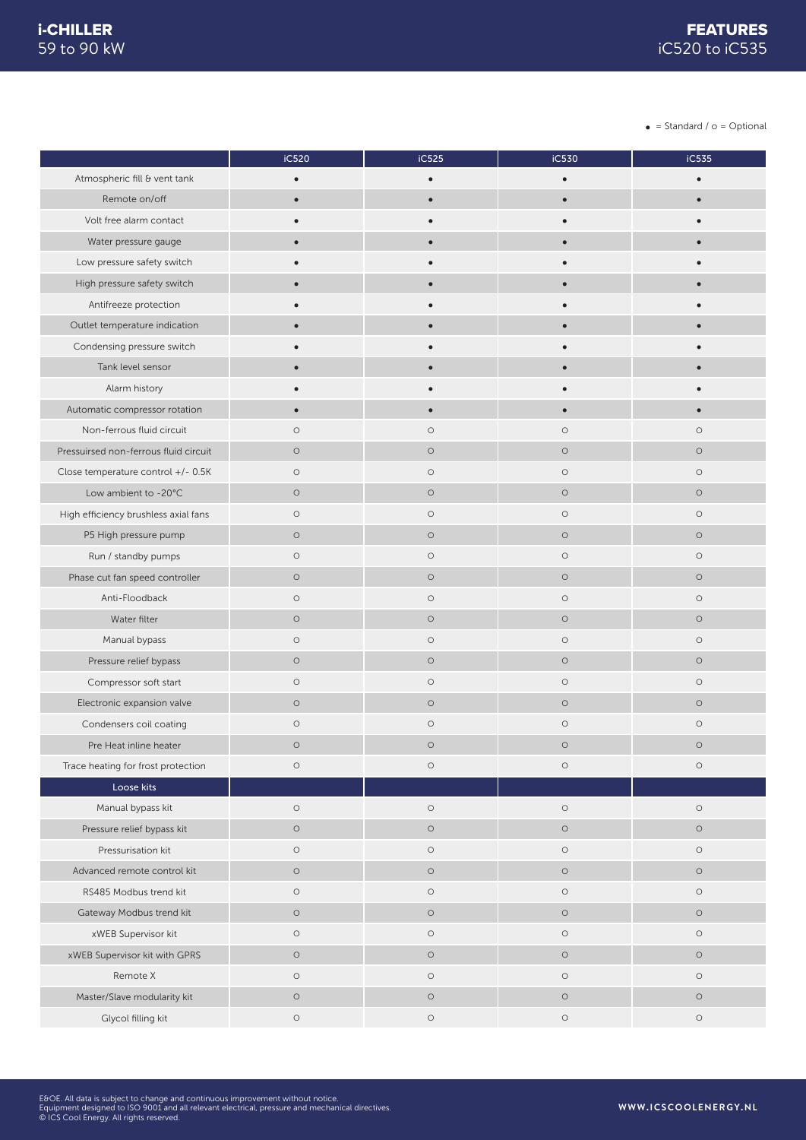$\bullet$  = Standard /  $o$  = Optional

|                                       | iC520      | iC525      | iC530      | iC535      |
|---------------------------------------|------------|------------|------------|------------|
| Atmospheric fill & vent tank          | $\bullet$  | $\bullet$  | $\bullet$  |            |
| Remote on/off                         | $\bullet$  | $\bullet$  | $\bullet$  |            |
| Volt free alarm contact               |            |            |            |            |
| Water pressure gauge                  | $\bullet$  | $\bullet$  |            |            |
| Low pressure safety switch            |            |            |            |            |
| High pressure safety switch           | $\bullet$  | $\bullet$  |            |            |
| Antifreeze protection                 |            |            |            |            |
| Outlet temperature indication         |            |            |            |            |
| Condensing pressure switch            |            |            |            |            |
| Tank level sensor                     | $\bullet$  |            |            |            |
| Alarm history                         |            |            |            |            |
| Automatic compressor rotation         | $\bullet$  | $\bullet$  |            |            |
| Non-ferrous fluid circuit             | $\circ$    | $\circ$    | $\circ$    | $\circ$    |
| Pressuirsed non-ferrous fluid circuit | $\circ$    | $\circ$    | $\circ$    | $\circ$    |
| Close temperature control +/- 0.5K    | $\circ$    | $\circ$    | $\circ$    | $\circ$    |
| Low ambient to -20°C                  | $\circ$    | $\circ$    | $\circ$    | $\circ$    |
| High efficiency brushless axial fans  | $\bigcirc$ | $\circ$    | $\circ$    | $\circ$    |
| P5 High pressure pump                 | $\circ$    | $\circ$    | $\circ$    | $\circ$    |
| Run / standby pumps                   | $\circ$    | $\circ$    | $\circ$    | $\circ$    |
| Phase cut fan speed controller        | $\circ$    | $\circ$    | $\circ$    | $\circ$    |
| Anti-Floodback                        | $\circ$    | $\circ$    | $\bigcirc$ | $\circ$    |
| Water filter                          | $\circ$    | $\circ$    | $\circ$    | $\circ$    |
| Manual bypass                         | $\bigcirc$ | $\circ$    | $\circ$    | $\circ$    |
| Pressure relief bypass                | $\circ$    | $\circ$    | $\circ$    | $\circ$    |
| Compressor soft start                 | $\circ$    | $\circ$    | $\circ$    | $\circ$    |
| Electronic expansion valve            | $\circ$    | $\circ$    | $\bigcirc$ | $\circ$    |
| Condensers coil coating               | $\circ$    | $\circ$    | $\circ$    | $\circ$    |
| Pre Heat inline heater                | $\circ$    | $\circ$    | $\circ$    | $\circ$    |
| Trace heating for frost protection    | $\bigcirc$ | $\circ$    | $\bigcirc$ | $\circ$    |
| Loose kits                            |            |            |            |            |
| Manual bypass kit                     | $\circ$    | $\circ$    | $\circ$    | $\circ$    |
| Pressure relief bypass kit            | $\circ$    | $\bigcirc$ | $\bigcirc$ | $\circ$    |
| Pressurisation kit                    | $\circ$    | $\bigcirc$ | $\bigcirc$ | $\circ$    |
| Advanced remote control kit           | $\circ$    | $\circ$    | $\circ$    | $\circ$    |
| RS485 Modbus trend kit                | $\bigcirc$ | $\bigcirc$ | $\bigcirc$ | $\circ$    |
| Gateway Modbus trend kit              | $\circ$    | $\circ$    | $\bigcirc$ | $\circ$    |
| xWEB Supervisor kit                   | $\circ$    | $\circ$    | $\bigcirc$ | $\circ$    |
| xWEB Supervisor kit with GPRS         | $\circ$    | $\bigcirc$ | $\bigcirc$ | $\circ$    |
| Remote X                              | $\circ$    | $\circ$    | $\circ$    | $\circ$    |
| Master/Slave modularity kit           | $\circ$    | $\bigcirc$ | $\bigcirc$ | $\circ$    |
| Glycol filling kit                    | $\bigcirc$ | $\bigcirc$ | $\bigcirc$ | $\bigcirc$ |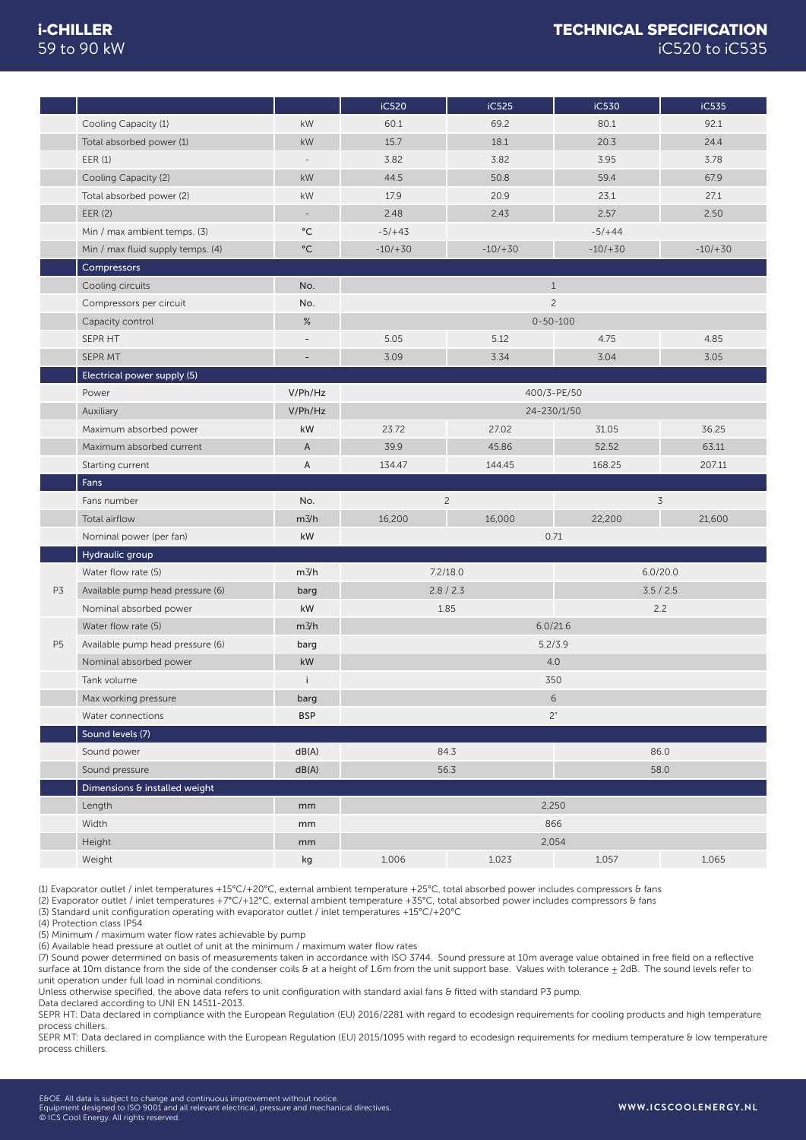|                |                                   |                          | iC520       | iC525          | iC530       | iC535       |
|----------------|-----------------------------------|--------------------------|-------------|----------------|-------------|-------------|
|                | Cooling Capacity (1)              | kW                       | 60.1        | 69.2           | 80.1        | 92.1        |
|                | Total absorbed power (1)          | kW                       | 15.7        | 18.1           | 20.3        | 24.4        |
|                | EER(1)                            | $\overline{\phantom{a}}$ | 3.82        | 3.82           | 3.95        | 3.78        |
|                | Cooling Capacity (2)              | kW                       | 44.5        | 50.8           | 59.4        | 67.9        |
|                | Total absorbed power (2)          | kW                       | 17.9        | 20.9           | 23.1        | 27.1        |
|                | EER (2)                           | ÷,                       | 2.48        | 2.43           | 2.57        | 2.50        |
|                | Min / max ambient temps. (3)      | $^{\circ}{\rm C}$        | $-5/+43$    |                | $-5/+44$    |             |
|                | Min / max fluid supply temps. (4) | $\rm ^{\circ}C$          | $-10/ + 30$ | $-10/ + 30$    | $-10/ + 30$ | $-10/ + 30$ |
|                | Compressors                       |                          |             |                |             |             |
|                | Cooling circuits                  | No.                      |             | $\mathbf{1}$   |             |             |
|                | Compressors per circuit           | No.                      |             | $\overline{c}$ |             |             |
|                | Capacity control                  | %                        |             | $0 - 50 - 100$ |             |             |
|                | SEPR HT                           | $\overline{\phantom{a}}$ | 5.05        | 5.12           | 4.75        | 4.85        |
|                | SEPR MT                           | $\overline{\phantom{a}}$ | 3.09        | 3.34           | 3.04        | 3.05        |
|                | Electrical power supply (5)       |                          |             |                |             |             |
|                | Power                             | V/Ph/Hz                  |             | 400/3-PE/50    |             |             |
|                | Auxiliary                         | V/Ph/Hz                  |             | 24-230/1/50    |             |             |
|                | Maximum absorbed power            | kW                       | 23.72       | 27.02          | 31.05       | 36.25       |
|                | Maximum absorbed current          | A                        | 39.9        | 45.86          | 52.52       | 63.11       |
|                | Starting current                  | A                        | 134.47      | 144.45         | 168.25      | 207.11      |
|                | Fans                              |                          |             |                |             |             |
|                | Fans number                       | No.                      |             | $\overline{c}$ |             | 3           |
|                | Total airflow                     | $m\frac{3}{h}$           | 16,200      | 16,000         | 22,200      | 21,600      |
|                | Nominal power (per fan)           | kW                       |             | 0.71           |             |             |
|                | Hydraulic group                   |                          |             |                |             |             |
|                | Water flow rate (5)               | m3/h                     |             | 7.2/18.0       |             | 6.0/20.0    |
| P3             | Available pump head pressure (6)  | barg                     |             | 2.8 / 2.3      |             | 3.5 / 2.5   |
|                | Nominal absorbed power            | kW                       |             | 1.85           |             | 2.2         |
|                | Water flow rate (5)               | m3/h                     |             | 6.0/21.6       |             |             |
| P <sub>5</sub> | Available pump head pressure (6)  | barg                     |             | 5.2/3.9        |             |             |
|                | Nominal absorbed power            | kW                       |             | 4.0            |             |             |
|                | Tank volume                       | Ť                        |             | 350            |             |             |
|                | Max working pressure              | barg                     |             | $6\,$          |             |             |
|                | Water connections                 | <b>BSP</b>               |             | 2"             |             |             |
|                | Sound levels (7)                  |                          |             |                |             |             |
|                | Sound power                       | dB(A)                    |             | 84.3           |             | 86.0        |
|                | Sound pressure                    | dB(A)                    |             | 56.3           |             | 58.0        |
|                | Dimensions & installed weight     |                          |             |                |             |             |
|                | Length                            | mm                       |             | 2,250          |             |             |
|                | Width                             | mm                       |             |                | 866         |             |
|                |                                   |                          |             |                |             |             |
|                | Height<br>Weight                  | mm                       | 1,006       | 2,054          |             |             |

(1) Evaporator outlet / inlet temperatures +15°C/+20°C, external ambient temperature +25°C, total absorbed power includes compressors & fans

(2) Evaporator outlet / inlet temperatures +7°C/+12°C, external ambient temperature +35°C, total absorbed power includes compressors & fans

(3) Standard unit configuration operating with evaporator outlet / inlet temperatures +15°C/+20°C

(4) Protection class IP54

(5) Minimum / maximum water flow rates achievable by pump

(6) Available head pressure at outlet of unit at the minimum / maximum water flow rates (7) Sound power determined on basis of measurements taken in accordance with ISO 3744. Sound pressure at 10m average value obtained in free field on a reflective surface at 10m distance from the side of the condenser coils & at a height of 1.6m from the unit support base. Values with tolerance  $\pm$  2dB. The sound levels refer to unit operation under full load in nominal conditions.

Unless otherwise specified, the above data refers to unit configuration with standard axial fans & fitted with standard P3 pump.

Data declared according to UNI EN 14511-2013.

SEPR HT: Data declared in compliance with the European Regulation (EU) 2016/2281 with regard to ecodesign requirements for cooling products and high temperature process chillers.

SEPR MT: Data declared in compliance with the European Regulation (EU) 2015/1095 with regard to ecodesign requirements for medium temperature & low temperature process chillers.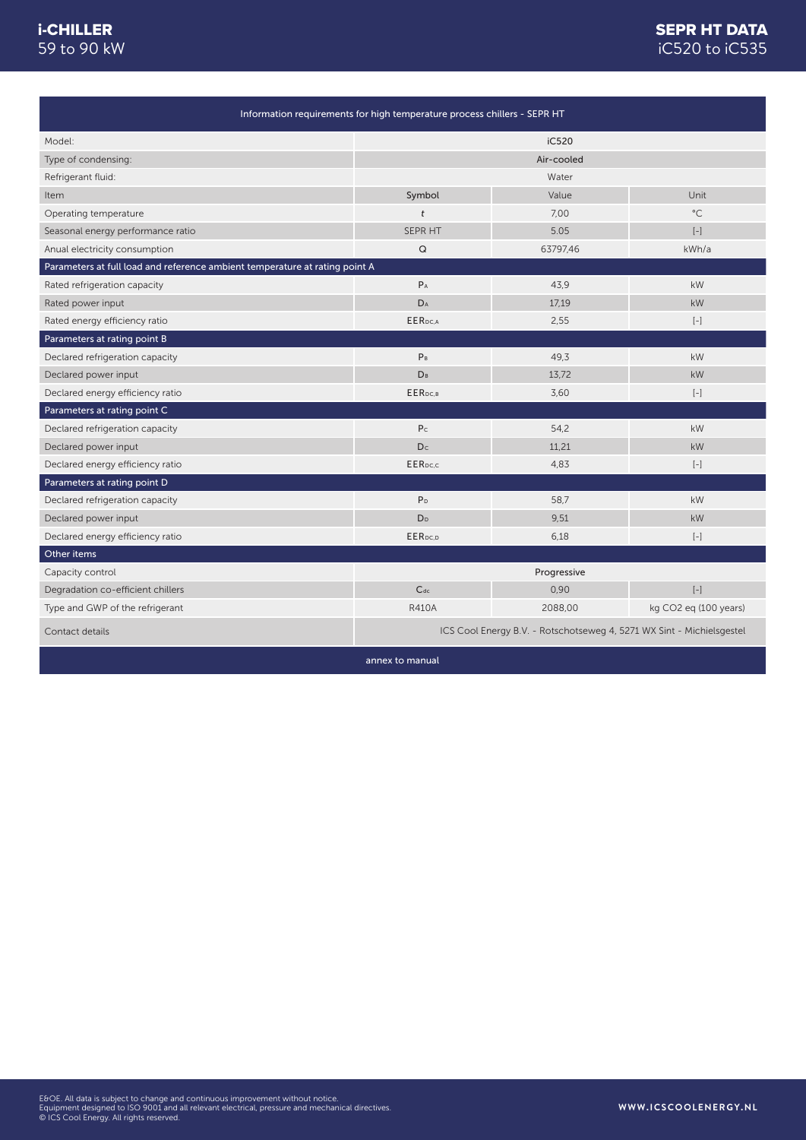|                                                                             | Information requirements for high temperature process chillers - SEPR HT |                                                                       |                          |
|-----------------------------------------------------------------------------|--------------------------------------------------------------------------|-----------------------------------------------------------------------|--------------------------|
| Model:                                                                      |                                                                          | iC520                                                                 |                          |
| Type of condensing:                                                         |                                                                          | Air-cooled                                                            |                          |
| Refrigerant fluid:                                                          |                                                                          | Water                                                                 |                          |
| Item                                                                        | Symbol                                                                   | Value                                                                 | Unit                     |
| Operating temperature                                                       | t                                                                        | 7,00                                                                  | $^{\circ}$ C             |
| Seasonal energy performance ratio                                           | SEPR HT                                                                  | 5.05                                                                  | $\left[ -\right]$        |
| Anual electricity consumption                                               | Q                                                                        | 63797,46                                                              | kWh/a                    |
| Parameters at full load and reference ambient temperature at rating point A |                                                                          |                                                                       |                          |
| Rated refrigeration capacity                                                | $P_A$                                                                    | 43,9                                                                  | kW                       |
| Rated power input                                                           | DA                                                                       | 17,19                                                                 | kW                       |
| Rated energy efficiency ratio                                               | <b>EER</b> pc.A                                                          | 2,55                                                                  | $\left[ -\right]$        |
| Parameters at rating point B                                                |                                                                          |                                                                       |                          |
| Declared refrigeration capacity                                             | P <sub>B</sub>                                                           | 49,3                                                                  | kW                       |
| Declared power input                                                        | <b>D</b> <sub>B</sub>                                                    | 13,72                                                                 | kW                       |
| Declared energy efficiency ratio                                            | EER <sub>DC.B</sub>                                                      | 3,60                                                                  | $\left[ -\right]$        |
| Parameters at rating point C                                                |                                                                          |                                                                       |                          |
| Declared refrigeration capacity                                             | P <sub>C</sub>                                                           | 54,2                                                                  | kW                       |
| Declared power input                                                        | Dc                                                                       | 11,21                                                                 | kW                       |
| Declared energy efficiency ratio                                            | <b>EER</b> pc.c                                                          | 4,83                                                                  | $\left[ -\right]$        |
| Parameters at rating point D                                                |                                                                          |                                                                       |                          |
| Declared refrigeration capacity                                             | P <sub>D</sub>                                                           | 58,7                                                                  | kW                       |
| Declared power input                                                        | D <sub>D</sub>                                                           | 9.51                                                                  | kW                       |
| Declared energy efficiency ratio                                            | EERpc.p                                                                  | 6,18                                                                  | $[-]$                    |
| Other items                                                                 |                                                                          |                                                                       |                          |
| Capacity control                                                            |                                                                          | Progressive                                                           |                          |
| Degradation co-efficient chillers                                           | $C_{dc}$                                                                 | 0,90                                                                  | $\left[ \, - \, \right]$ |
| Type and GWP of the refrigerant                                             | <b>R410A</b>                                                             | 2088,00                                                               | kg CO2 eq (100 years)    |
| Contact details                                                             |                                                                          | ICS Cool Energy B.V. - Rotschotseweg 4, 5271 WX Sint - Michielsgestel |                          |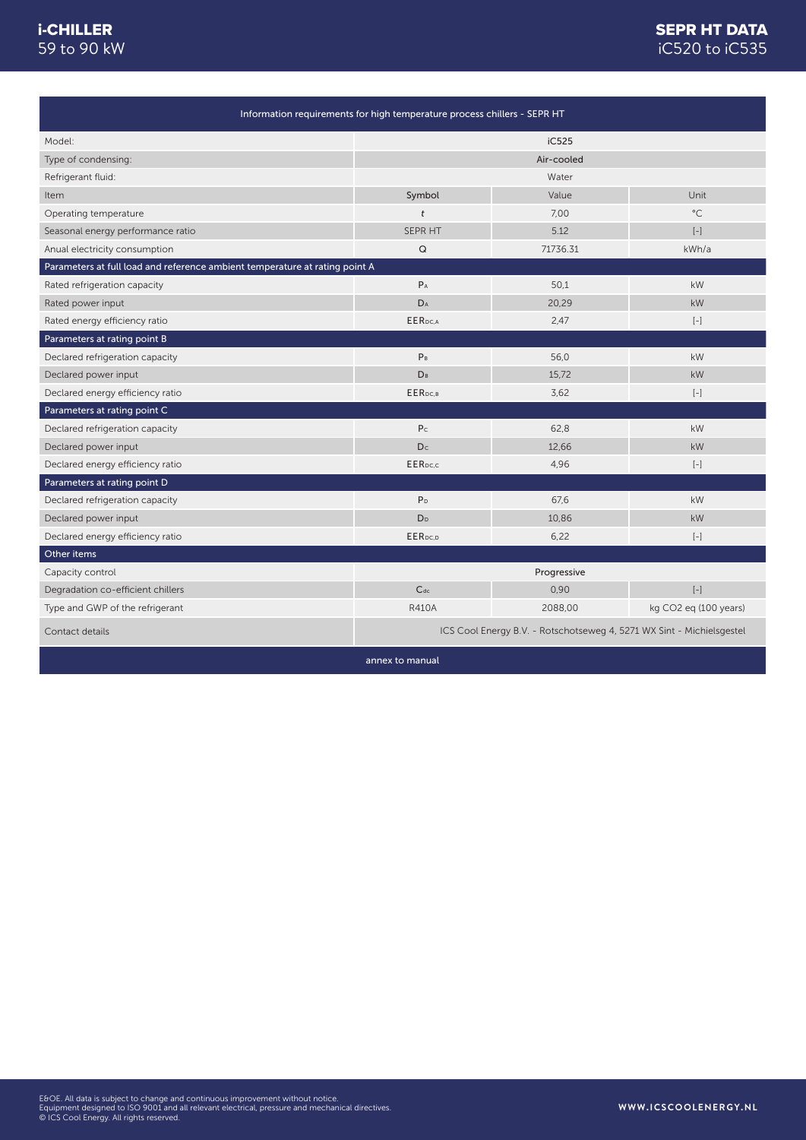|                                                                             | Information requirements for high temperature process chillers - SEPR HT |                                                                       |                                                                                                                                                                                                                     |
|-----------------------------------------------------------------------------|--------------------------------------------------------------------------|-----------------------------------------------------------------------|---------------------------------------------------------------------------------------------------------------------------------------------------------------------------------------------------------------------|
| Model:                                                                      |                                                                          | iC525                                                                 |                                                                                                                                                                                                                     |
| Type of condensing:                                                         |                                                                          | Air-cooled                                                            |                                                                                                                                                                                                                     |
| Refrigerant fluid:                                                          |                                                                          | Water                                                                 |                                                                                                                                                                                                                     |
| Item                                                                        | Symbol                                                                   | Value                                                                 | Unit                                                                                                                                                                                                                |
| Operating temperature                                                       | t                                                                        | 7,00                                                                  | $^{\circ}$ C                                                                                                                                                                                                        |
| Seasonal energy performance ratio                                           | SEPR HT                                                                  | 5.12                                                                  | $[-]$                                                                                                                                                                                                               |
| Anual electricity consumption                                               | $\mathsf Q$                                                              | 71736.31                                                              | kWh/a                                                                                                                                                                                                               |
| Parameters at full load and reference ambient temperature at rating point A |                                                                          |                                                                       |                                                                                                                                                                                                                     |
| Rated refrigeration capacity                                                | $P_A$                                                                    | 50,1                                                                  | kW                                                                                                                                                                                                                  |
| Rated power input                                                           | D <sub>A</sub>                                                           | 20,29                                                                 | kW                                                                                                                                                                                                                  |
| Rated energy efficiency ratio                                               | <b>EER</b> DC.A                                                          | 2,47                                                                  | $\left[ -\right]$                                                                                                                                                                                                   |
| Parameters at rating point B                                                |                                                                          |                                                                       |                                                                                                                                                                                                                     |
| Declared refrigeration capacity                                             | P <sub>B</sub>                                                           | 56.0                                                                  | kW                                                                                                                                                                                                                  |
| Declared power input                                                        | <b>D</b> <sub>B</sub>                                                    | 15.72                                                                 | kW                                                                                                                                                                                                                  |
| Declared energy efficiency ratio                                            | EER <sub>DC.B</sub>                                                      | 3,62                                                                  | $\left[ -\right]$                                                                                                                                                                                                   |
| Parameters at rating point C                                                |                                                                          |                                                                       |                                                                                                                                                                                                                     |
| Declared refrigeration capacity                                             | P <sub>c</sub>                                                           | 62.8                                                                  | kW                                                                                                                                                                                                                  |
| Declared power input                                                        | D <sub>c</sub>                                                           | 12.66                                                                 | kW                                                                                                                                                                                                                  |
| Declared energy efficiency ratio                                            | <b>EER</b> pc.c                                                          | 4,96                                                                  | $\left[ -\right]$                                                                                                                                                                                                   |
| Parameters at rating point D                                                |                                                                          |                                                                       |                                                                                                                                                                                                                     |
| Declared refrigeration capacity                                             | P <sub>D</sub>                                                           | 67,6                                                                  | kW                                                                                                                                                                                                                  |
| Declared power input                                                        | D <sub>D</sub>                                                           | 10,86                                                                 | kW                                                                                                                                                                                                                  |
| Declared energy efficiency ratio                                            | EER <sub>DC,D</sub>                                                      | 6,22                                                                  | $[-]$                                                                                                                                                                                                               |
| Other items                                                                 |                                                                          |                                                                       |                                                                                                                                                                                                                     |
| Capacity control                                                            |                                                                          | Progressive                                                           |                                                                                                                                                                                                                     |
| Degradation co-efficient chillers                                           | $C_{dc}$                                                                 | 0,90                                                                  | $\left[ -\right] % \begin{minipage}[b]{.45\linewidth} \centering \includegraphics[width=\textwidth]{figs/fig_4b}% \caption{The average number of times in the left and right.} \label{fig:fig_4b}% \end{minipage}%$ |
| Type and GWP of the refrigerant                                             | <b>R410A</b>                                                             | 2088,00                                                               | kg CO2 eq (100 years)                                                                                                                                                                                               |
| Contact details                                                             |                                                                          | ICS Cool Energy B.V. - Rotschotseweg 4, 5271 WX Sint - Michielsgestel |                                                                                                                                                                                                                     |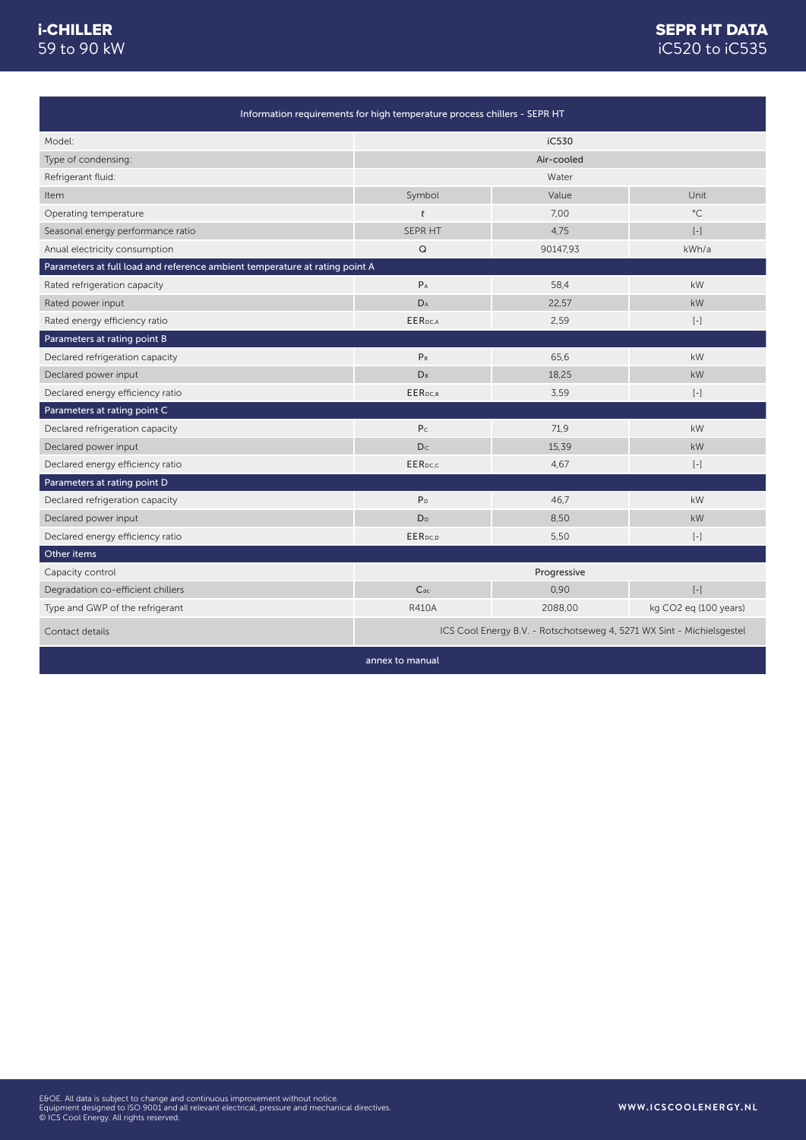|                                                                             | Information requirements for high temperature process chillers - SEPR HT |                                                                       |                          |
|-----------------------------------------------------------------------------|--------------------------------------------------------------------------|-----------------------------------------------------------------------|--------------------------|
| Model:                                                                      |                                                                          | iC530                                                                 |                          |
| Type of condensing:                                                         |                                                                          | Air-cooled                                                            |                          |
| Refrigerant fluid:                                                          |                                                                          | Water                                                                 |                          |
| Item                                                                        | Symbol                                                                   | Value                                                                 | Unit                     |
| Operating temperature                                                       | $\dot{t}$                                                                | 7.00                                                                  | $^{\circ}$ C             |
| Seasonal energy performance ratio                                           | SEPR HT                                                                  | 4,75                                                                  | $\left[ -\right]$        |
| Anual electricity consumption                                               | $\mathsf Q$                                                              | 90147,93                                                              | kWh/a                    |
| Parameters at full load and reference ambient temperature at rating point A |                                                                          |                                                                       |                          |
| Rated refrigeration capacity                                                | $P_A$                                                                    | 58,4                                                                  | kW                       |
| Rated power input                                                           | DA                                                                       | 22,57                                                                 | kW                       |
| Rated energy efficiency ratio                                               | EER <sub>pc.A</sub>                                                      | 2,59                                                                  | $[-]$                    |
| Parameters at rating point B                                                |                                                                          |                                                                       |                          |
| Declared refrigeration capacity                                             | $P_B$                                                                    | 65,6                                                                  | kW                       |
| Declared power input                                                        | <b>DB</b>                                                                | 18.25                                                                 | kW                       |
| Declared energy efficiency ratio                                            | EER <sub>DC.B</sub>                                                      | 3,59                                                                  | $\left[ -\right]$        |
| Parameters at rating point C                                                |                                                                          |                                                                       |                          |
| Declared refrigeration capacity                                             | P <sub>c</sub>                                                           | 71,9                                                                  | kW                       |
| Declared power input                                                        | Dc                                                                       | 15.39                                                                 | kW                       |
| Declared energy efficiency ratio                                            | <b>EER</b> pc.c                                                          | 4,67                                                                  | $[-]$                    |
| Parameters at rating point D                                                |                                                                          |                                                                       |                          |
| Declared refrigeration capacity                                             | P <sub>D</sub>                                                           | 46,7                                                                  | kW                       |
| Declared power input                                                        | D <sub>D</sub>                                                           | 8,50                                                                  | kW                       |
| Declared energy efficiency ratio                                            | EER <sub>pc,p</sub>                                                      | 5,50                                                                  | $\left[ -\right]$        |
| Other items                                                                 |                                                                          |                                                                       |                          |
| Capacity control                                                            |                                                                          | Progressive                                                           |                          |
| Degradation co-efficient chillers                                           | $C_{dc}$                                                                 | 0,90                                                                  | $\left[ \, - \, \right]$ |
| Type and GWP of the refrigerant                                             | <b>R410A</b>                                                             | 2088,00                                                               | kg CO2 eq (100 years)    |
| Contact details                                                             |                                                                          | ICS Cool Energy B.V. - Rotschotseweg 4, 5271 WX Sint - Michielsgestel |                          |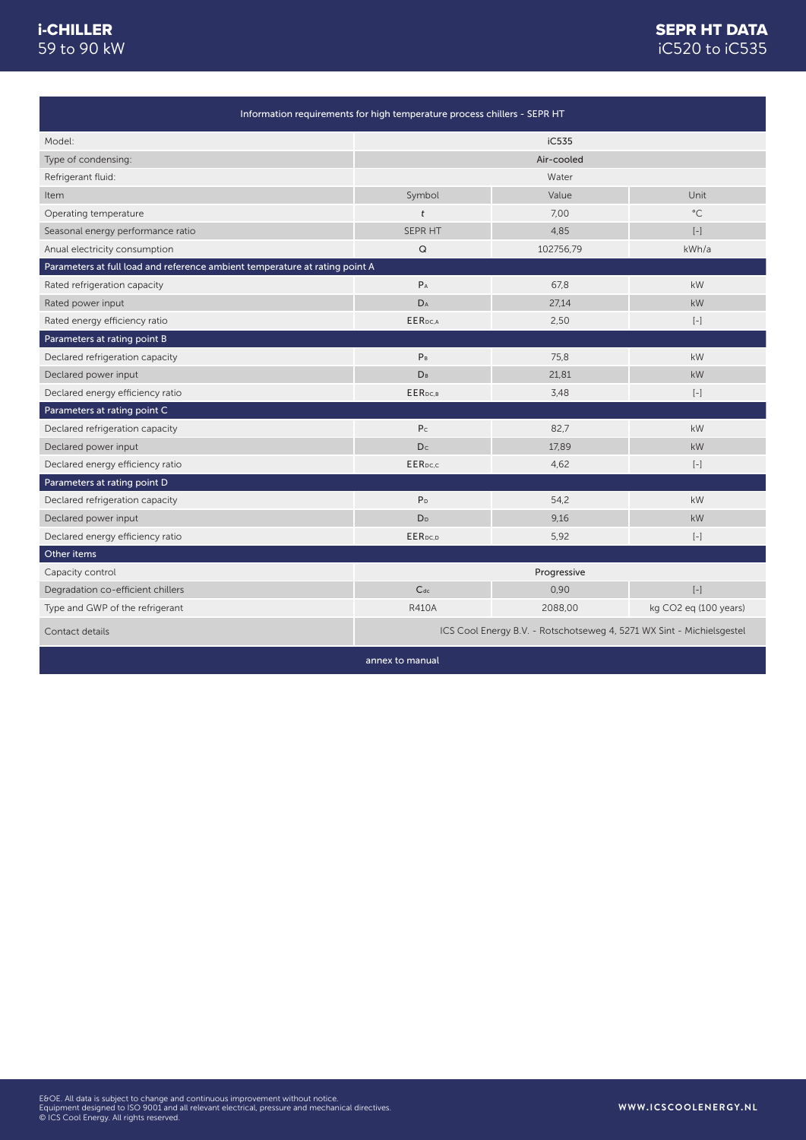|                                                                             | Information requirements for high temperature process chillers - SEPR HT |                                                                       |                          |
|-----------------------------------------------------------------------------|--------------------------------------------------------------------------|-----------------------------------------------------------------------|--------------------------|
| Model:                                                                      |                                                                          | iC535                                                                 |                          |
| Type of condensing:                                                         |                                                                          | Air-cooled                                                            |                          |
| Refrigerant fluid:                                                          |                                                                          | Water                                                                 |                          |
| Item                                                                        | Symbol                                                                   | Value                                                                 | Unit                     |
| Operating temperature                                                       | t                                                                        | 7,00                                                                  | $^{\circ}$ C             |
| Seasonal energy performance ratio                                           | SEPR HT                                                                  | 4,85                                                                  | $\left[ -\right]$        |
| Anual electricity consumption                                               | Q                                                                        | 102756,79                                                             | kWh/a                    |
| Parameters at full load and reference ambient temperature at rating point A |                                                                          |                                                                       |                          |
| Rated refrigeration capacity                                                | $P_A$                                                                    | 67,8                                                                  | kW                       |
| Rated power input                                                           | DA                                                                       | 27,14                                                                 | kW                       |
| Rated energy efficiency ratio                                               | <b>EER</b> pc.A                                                          | 2,50                                                                  | $\left[ -\right]$        |
| Parameters at rating point B                                                |                                                                          |                                                                       |                          |
| Declared refrigeration capacity                                             | P <sub>B</sub>                                                           | 75,8                                                                  | kW                       |
| Declared power input                                                        | <b>D</b> <sub>B</sub>                                                    | 21,81                                                                 | kW                       |
| Declared energy efficiency ratio                                            | EER <sub>DC.B</sub>                                                      | 3,48                                                                  | $\left[ -\right]$        |
| Parameters at rating point C                                                |                                                                          |                                                                       |                          |
| Declared refrigeration capacity                                             | P <sub>C</sub>                                                           | 82,7                                                                  | kW                       |
| Declared power input                                                        | Dc                                                                       | 17,89                                                                 | kW                       |
| Declared energy efficiency ratio                                            | <b>EER</b> pc.c                                                          | 4,62                                                                  | $\left[ -\right]$        |
| Parameters at rating point D                                                |                                                                          |                                                                       |                          |
| Declared refrigeration capacity                                             | P <sub>D</sub>                                                           | 54,2                                                                  | kW                       |
| Declared power input                                                        | D <sub>D</sub>                                                           | 9.16                                                                  | kW                       |
| Declared energy efficiency ratio                                            | EERpc.p                                                                  | 5,92                                                                  | $[-]$                    |
| Other items                                                                 |                                                                          |                                                                       |                          |
| Capacity control                                                            |                                                                          | Progressive                                                           |                          |
| Degradation co-efficient chillers                                           | $C_{dc}$                                                                 | 0,90                                                                  | $\left[ \, - \, \right]$ |
| Type and GWP of the refrigerant                                             | <b>R410A</b>                                                             | 2088,00                                                               | kg CO2 eq (100 years)    |
| Contact details                                                             |                                                                          | ICS Cool Energy B.V. - Rotschotseweg 4, 5271 WX Sint - Michielsgestel |                          |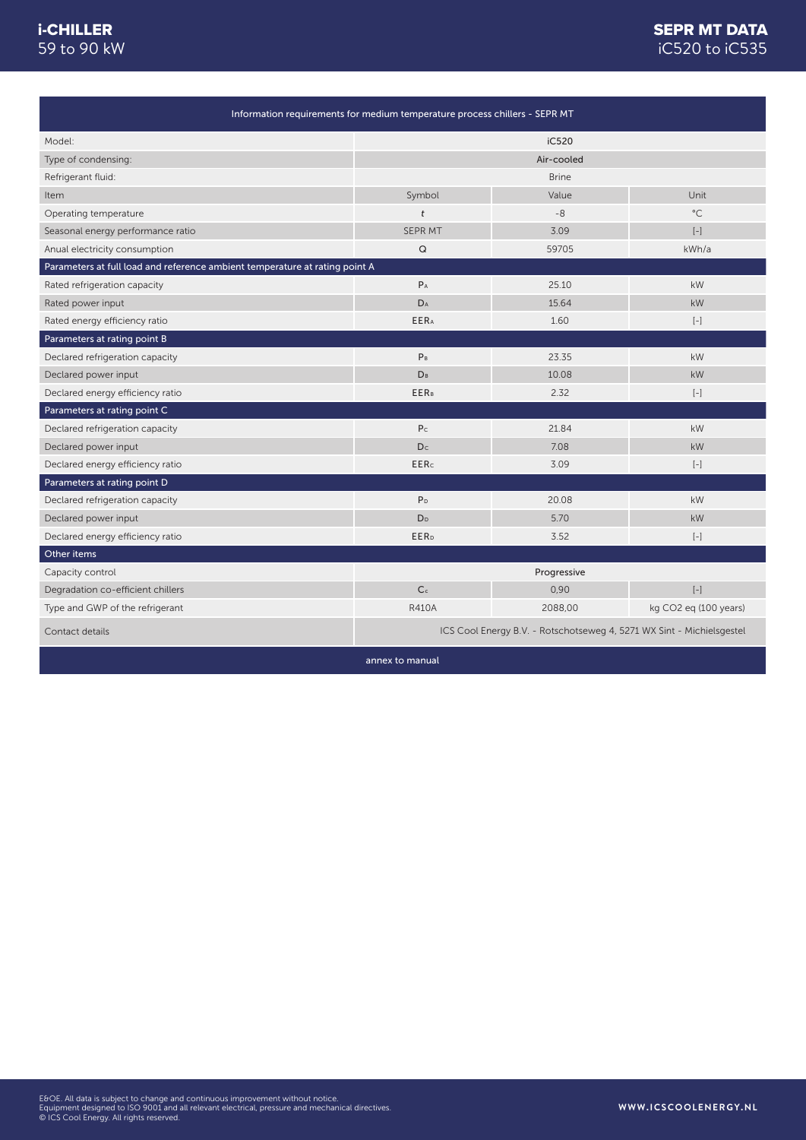# iC520 to iC535 SEPR MT DATA

|                                                                             | Information requirements for medium temperature process chillers - SEPR MT |                                                                       |                       |
|-----------------------------------------------------------------------------|----------------------------------------------------------------------------|-----------------------------------------------------------------------|-----------------------|
| Model:                                                                      |                                                                            | iC520                                                                 |                       |
| Type of condensing:                                                         |                                                                            | Air-cooled                                                            |                       |
| Refrigerant fluid:                                                          |                                                                            | <b>Brine</b>                                                          |                       |
| Item                                                                        | Symbol                                                                     | Value                                                                 | Unit                  |
| Operating temperature                                                       | t                                                                          | $-8$                                                                  | $^{\circ}$ C          |
| Seasonal energy performance ratio                                           | <b>SEPR MT</b>                                                             | 3.09                                                                  | $[-]$                 |
| Anual electricity consumption                                               | $\mathsf Q$                                                                | 59705                                                                 | kWh/a                 |
| Parameters at full load and reference ambient temperature at rating point A |                                                                            |                                                                       |                       |
| Rated refrigeration capacity                                                | $P_A$                                                                      | 25.10                                                                 | kW                    |
| Rated power input                                                           | DA                                                                         | 15.64                                                                 | kW                    |
| Rated energy efficiency ratio                                               | <b>EERA</b>                                                                | 1.60                                                                  | $[-]$                 |
| Parameters at rating point B                                                |                                                                            |                                                                       |                       |
| Declared refrigeration capacity                                             | P <sub>B</sub>                                                             | 23.35                                                                 | kW                    |
| Declared power input                                                        | DB                                                                         | 10.08                                                                 | <b>kW</b>             |
| Declared energy efficiency ratio                                            | <b>EERB</b>                                                                | 2.32                                                                  | $[-]$                 |
| Parameters at rating point C                                                |                                                                            |                                                                       |                       |
| Declared refrigeration capacity                                             | P <sub>c</sub>                                                             | 21.84                                                                 | kW                    |
| Declared power input                                                        | Dc                                                                         | 7.08                                                                  | kW                    |
| Declared energy efficiency ratio                                            | <b>EERc</b>                                                                | 3.09                                                                  | $\left[ -\right]$     |
| Parameters at rating point D                                                |                                                                            |                                                                       |                       |
| Declared refrigeration capacity                                             | P <sub>D</sub>                                                             | 20.08                                                                 | kW                    |
| Declared power input                                                        | D <sub>D</sub>                                                             | 5.70                                                                  | kW                    |
| Declared energy efficiency ratio                                            | <b>EER</b> <sub>D</sub>                                                    | 3.52                                                                  | $[-]$                 |
| Other items                                                                 |                                                                            |                                                                       |                       |
| Capacity control                                                            |                                                                            | Progressive                                                           |                       |
| Degradation co-efficient chillers                                           | C <sub>c</sub>                                                             | 0,90                                                                  | $\left[ -\right]$     |
| Type and GWP of the refrigerant                                             | <b>R410A</b>                                                               | 2088,00                                                               | kg CO2 eg (100 years) |
| Contact details                                                             |                                                                            | ICS Cool Energy B.V. - Rotschotseweg 4, 5271 WX Sint - Michielsgestel |                       |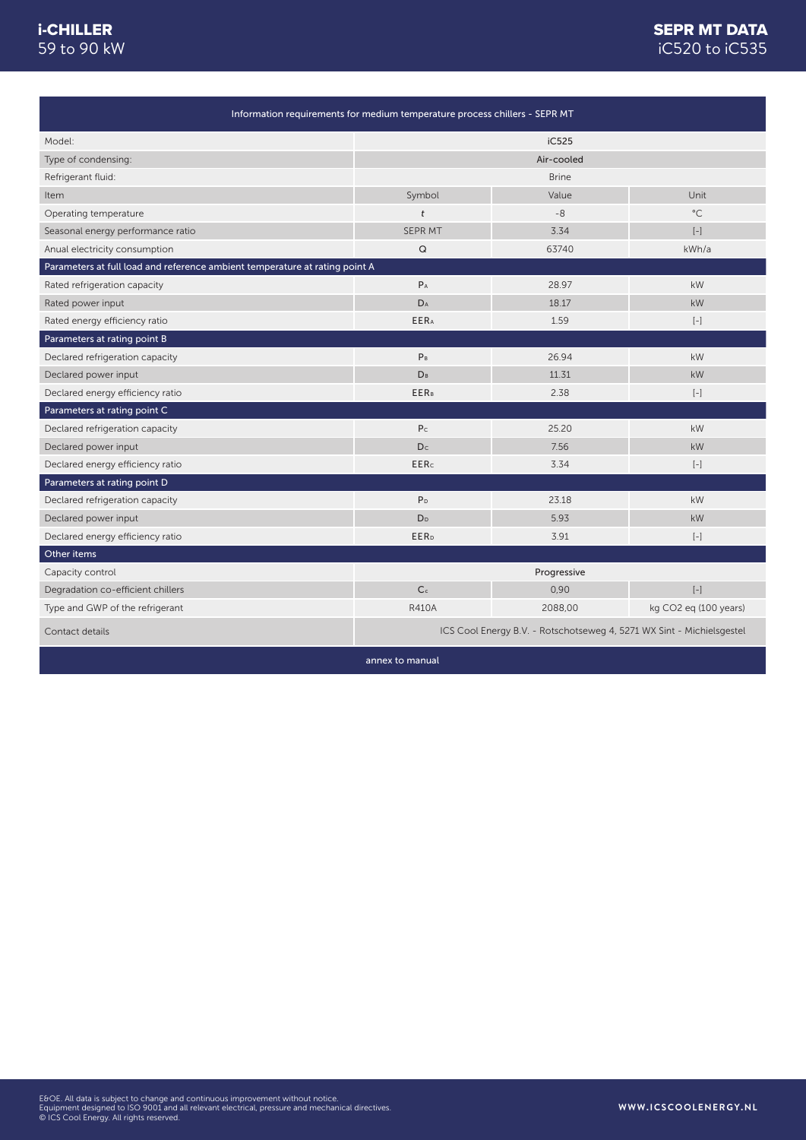# iC520 to iC535 SEPR MT DATA

| Information requirements for medium temperature process chillers - SEPR MT  |                         |                                                                       |                                                                                                                                                                                                                                                                                                                                                                                     |  |
|-----------------------------------------------------------------------------|-------------------------|-----------------------------------------------------------------------|-------------------------------------------------------------------------------------------------------------------------------------------------------------------------------------------------------------------------------------------------------------------------------------------------------------------------------------------------------------------------------------|--|
| Model:                                                                      |                         | iC525                                                                 |                                                                                                                                                                                                                                                                                                                                                                                     |  |
| Type of condensing:                                                         |                         | Air-cooled                                                            |                                                                                                                                                                                                                                                                                                                                                                                     |  |
| Refrigerant fluid:                                                          |                         | <b>Brine</b>                                                          |                                                                                                                                                                                                                                                                                                                                                                                     |  |
| Item                                                                        | Symbol                  | Value                                                                 | Unit                                                                                                                                                                                                                                                                                                                                                                                |  |
| Operating temperature                                                       | $\ddot{t}$              | $-8$                                                                  | $^{\circ}$ C                                                                                                                                                                                                                                                                                                                                                                        |  |
| Seasonal energy performance ratio                                           | <b>SEPR MT</b>          | 3.34                                                                  | $\left[ -\right]$                                                                                                                                                                                                                                                                                                                                                                   |  |
| Anual electricity consumption                                               | Q                       | 63740                                                                 | kWh/a                                                                                                                                                                                                                                                                                                                                                                               |  |
| Parameters at full load and reference ambient temperature at rating point A |                         |                                                                       |                                                                                                                                                                                                                                                                                                                                                                                     |  |
| Rated refrigeration capacity                                                | $P_A$                   | 28.97                                                                 | kW                                                                                                                                                                                                                                                                                                                                                                                  |  |
| Rated power input                                                           | DA                      | 18.17                                                                 | kW                                                                                                                                                                                                                                                                                                                                                                                  |  |
| Rated energy efficiency ratio                                               | <b>EERA</b>             | 1.59                                                                  | $\left[ -\right]$                                                                                                                                                                                                                                                                                                                                                                   |  |
| Parameters at rating point B                                                |                         |                                                                       |                                                                                                                                                                                                                                                                                                                                                                                     |  |
| Declared refrigeration capacity                                             | P <sub>B</sub>          | 26.94                                                                 | kW                                                                                                                                                                                                                                                                                                                                                                                  |  |
| Declared power input                                                        | D <sub>B</sub>          | 11.31                                                                 | kW                                                                                                                                                                                                                                                                                                                                                                                  |  |
| Declared energy efficiency ratio                                            | <b>EERB</b>             | 2.38                                                                  | $[-]$                                                                                                                                                                                                                                                                                                                                                                               |  |
| Parameters at rating point C                                                |                         |                                                                       |                                                                                                                                                                                                                                                                                                                                                                                     |  |
| Declared refrigeration capacity                                             | P <sub>C</sub>          | 25.20                                                                 | kW                                                                                                                                                                                                                                                                                                                                                                                  |  |
| Declared power input                                                        | Dc                      | 7.56                                                                  | kW                                                                                                                                                                                                                                                                                                                                                                                  |  |
| Declared energy efficiency ratio                                            | <b>EERc</b>             | 3.34                                                                  | $[-]$                                                                                                                                                                                                                                                                                                                                                                               |  |
| Parameters at rating point D                                                |                         |                                                                       |                                                                                                                                                                                                                                                                                                                                                                                     |  |
| Declared refrigeration capacity                                             | P <sub>D</sub>          | 23.18                                                                 | kW                                                                                                                                                                                                                                                                                                                                                                                  |  |
| Declared power input                                                        | D <sub>D</sub>          | 5.93                                                                  | kW                                                                                                                                                                                                                                                                                                                                                                                  |  |
| Declared energy efficiency ratio                                            | <b>EER</b> <sub>D</sub> | 3.91                                                                  | $\left[ -\right]$                                                                                                                                                                                                                                                                                                                                                                   |  |
| Other items                                                                 |                         |                                                                       |                                                                                                                                                                                                                                                                                                                                                                                     |  |
| Capacity control                                                            |                         | Progressive                                                           |                                                                                                                                                                                                                                                                                                                                                                                     |  |
| Degradation co-efficient chillers                                           | C <sub>c</sub>          | 0,90                                                                  | $\left[ -\right] % \includegraphics[width=0.9\textwidth]{images/TrDiag-Architecture.png} \caption{The first two different values of $A$ and $A$ is the same as in Figure \ref{fig:13}. The first two different values of $A$ is the same as in Figure \ref{fig:13}. The second two different values of $A$ is the same as in Figure \ref{fig:13}.} \label{fig:TrDiag-Architecture}$ |  |
| Type and GWP of the refrigerant                                             | <b>R410A</b>            | 2088,00                                                               | kg CO2 eg (100 years)                                                                                                                                                                                                                                                                                                                                                               |  |
| Contact details                                                             |                         | ICS Cool Energy B.V. - Rotschotseweg 4, 5271 WX Sint - Michielsgestel |                                                                                                                                                                                                                                                                                                                                                                                     |  |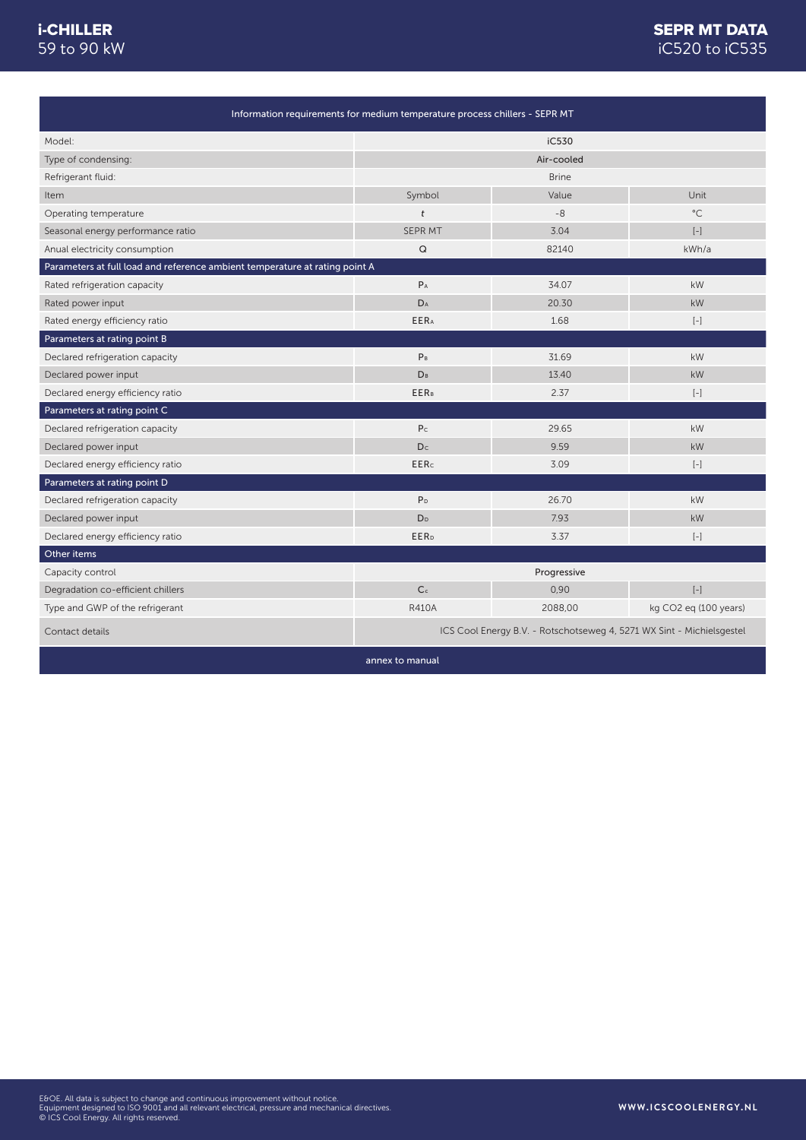# iC520 to iC535 **SEPR MT DATA**

| Information requirements for medium temperature process chillers - SEPR MT  |                         |                                                                       |                                                                                                                                                                                                                                                      |  |
|-----------------------------------------------------------------------------|-------------------------|-----------------------------------------------------------------------|------------------------------------------------------------------------------------------------------------------------------------------------------------------------------------------------------------------------------------------------------|--|
| Model:                                                                      |                         | iC530                                                                 |                                                                                                                                                                                                                                                      |  |
| Type of condensing:                                                         |                         | Air-cooled                                                            |                                                                                                                                                                                                                                                      |  |
| Refrigerant fluid:                                                          |                         | <b>Brine</b>                                                          |                                                                                                                                                                                                                                                      |  |
| Item                                                                        | Symbol                  | Value                                                                 | Unit                                                                                                                                                                                                                                                 |  |
| Operating temperature                                                       | t                       | $-8$                                                                  | $^{\circ}$ C                                                                                                                                                                                                                                         |  |
| Seasonal energy performance ratio                                           | <b>SEPR MT</b>          | 3.04                                                                  | $\left[ -\right]$                                                                                                                                                                                                                                    |  |
| Anual electricity consumption                                               | Q                       | 82140                                                                 | kWh/a                                                                                                                                                                                                                                                |  |
| Parameters at full load and reference ambient temperature at rating point A |                         |                                                                       |                                                                                                                                                                                                                                                      |  |
| Rated refrigeration capacity                                                | $P_A$                   | 34.07                                                                 | kW                                                                                                                                                                                                                                                   |  |
| Rated power input                                                           | DA                      | 20.30                                                                 | kW                                                                                                                                                                                                                                                   |  |
| Rated energy efficiency ratio                                               | <b>EERA</b>             | 1.68                                                                  | $\left[ -\right] % \includegraphics[width=0.9\textwidth]{images/TrDiag-Architecture.png} % \caption{The first two different values of $x$ in the unit cell. The second two different values of $x$ in the unit cell.} \label{TrDiag-Architecture} %$ |  |
| Parameters at rating point B                                                |                         |                                                                       |                                                                                                                                                                                                                                                      |  |
| Declared refrigeration capacity                                             | P <sub>B</sub>          | 31.69                                                                 | kW                                                                                                                                                                                                                                                   |  |
| Declared power input                                                        | <b>DB</b>               | 13.40                                                                 | <b>kW</b>                                                                                                                                                                                                                                            |  |
| Declared energy efficiency ratio                                            | <b>EER</b> <sub>B</sub> | 2.37                                                                  | $[-]$                                                                                                                                                                                                                                                |  |
| Parameters at rating point C                                                |                         |                                                                       |                                                                                                                                                                                                                                                      |  |
| Declared refrigeration capacity                                             | P <sub>C</sub>          | 29.65                                                                 | kW                                                                                                                                                                                                                                                   |  |
| Declared power input                                                        | D <sub>c</sub>          | 9.59                                                                  | kW                                                                                                                                                                                                                                                   |  |
| Declared energy efficiency ratio                                            | <b>EERc</b>             | 3.09                                                                  | $\left[ -\right]$                                                                                                                                                                                                                                    |  |
| Parameters at rating point D                                                |                         |                                                                       |                                                                                                                                                                                                                                                      |  |
| Declared refrigeration capacity                                             | P <sub>D</sub>          | 26.70                                                                 | kW                                                                                                                                                                                                                                                   |  |
| Declared power input                                                        | D <sub>D</sub>          | 7.93                                                                  | kW                                                                                                                                                                                                                                                   |  |
| Declared energy efficiency ratio                                            | <b>EER</b> <sub>D</sub> | 3.37                                                                  | $[-]$                                                                                                                                                                                                                                                |  |
| Other items                                                                 |                         |                                                                       |                                                                                                                                                                                                                                                      |  |
| Capacity control                                                            |                         | Progressive                                                           |                                                                                                                                                                                                                                                      |  |
| Degradation co-efficient chillers                                           | C <sub>c</sub>          | 0,90                                                                  | $\left[ -\right] % \begin{minipage}[b]{.45\linewidth} \centering \includegraphics[width=\textwidth]{figs/fig_4b}% \caption{The average number of times in the left and right.} \label{fig:7} \end{minipage}%$                                        |  |
| Type and GWP of the refrigerant                                             | <b>R410A</b>            | 2088,00                                                               | kg CO2 eg (100 years)                                                                                                                                                                                                                                |  |
| Contact details                                                             |                         | ICS Cool Energy B.V. - Rotschotseweg 4, 5271 WX Sint - Michielsgestel |                                                                                                                                                                                                                                                      |  |